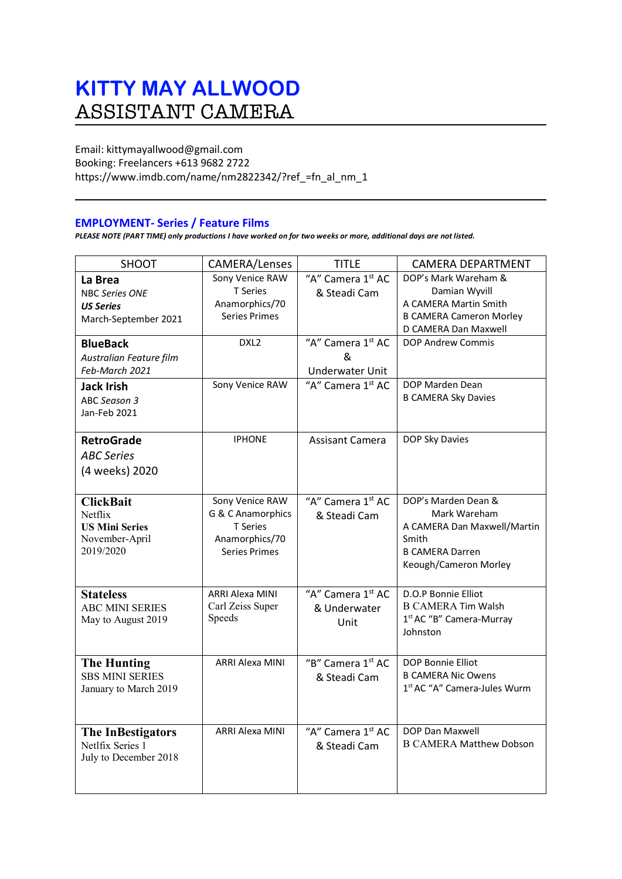# **KITTY MAY ALLWOOD** ASSISTANT CAMERA

Email: kittymayallwood@gmail.com Booking: Freelancers +613 9682 2722 https://www.imdb.com/name/nm2822342/?ref\_=fn\_al\_nm\_1

# **EMPLOYMENT- Series / Feature Films**

*PLEASE NOTE (PART TIME) only productions I have worked on for two weeks or more, additional days are not listed.*

| SHOOT                                                                               | CAMERA/Lenses                                                                              | <b>TITLE</b>                              | <b>CAMERA DEPARTMENT</b>                                                                                                       |
|-------------------------------------------------------------------------------------|--------------------------------------------------------------------------------------------|-------------------------------------------|--------------------------------------------------------------------------------------------------------------------------------|
| La Brea<br><b>NBC Series ONE</b><br><b>US Series</b><br>March-September 2021        | Sony Venice RAW<br>T Series<br>Anamorphics/70<br><b>Series Primes</b>                      | "A" Camera 1st AC<br>& Steadi Cam         | DOP's Mark Wareham &<br>Damian Wyvill<br>A CAMERA Martin Smith<br><b>B CAMERA Cameron Morley</b><br>D CAMERA Dan Maxwell       |
| <b>BlueBack</b><br>Australian Feature film<br>Feb-March 2021                        | DXL <sub>2</sub>                                                                           | "A" Camera 1st AC<br>&<br>Underwater Unit | <b>DOP Andrew Commis</b>                                                                                                       |
| <b>Jack Irish</b><br>ABC Season 3<br>Jan-Feb 2021                                   | Sony Venice RAW                                                                            | "A" Camera 1st AC                         | DOP Marden Dean<br><b>B CAMERA Sky Davies</b>                                                                                  |
| <b>RetroGrade</b><br><b>ABC Series</b><br>(4 weeks) 2020                            | <b>IPHONE</b>                                                                              | <b>Assisant Camera</b>                    | DOP Sky Davies                                                                                                                 |
| <b>ClickBait</b><br>Netflix<br><b>US Mini Series</b><br>November-April<br>2019/2020 | Sony Venice RAW<br>G & C Anamorphics<br><b>T</b> Series<br>Anamorphics/70<br>Series Primes | "A" Camera 1st AC<br>& Steadi Cam         | DOP's Marden Dean &<br>Mark Wareham<br>A CAMERA Dan Maxwell/Martin<br>Smith<br><b>B CAMERA Darren</b><br>Keough/Cameron Morley |
| <b>Stateless</b><br><b>ABC MINI SERIES</b><br>May to August 2019                    | <b>ARRI Alexa MINI</b><br>Carl Zeiss Super<br>Speeds                                       | "A" Camera 1st AC<br>& Underwater<br>Unit | D.O.P Bonnie Elliot<br><b>B CAMERA Tim Walsh</b><br>1 <sup>st</sup> AC "B" Camera-Murray<br>Johnston                           |
| <b>The Hunting</b><br><b>SBS MINI SERIES</b><br>January to March 2019               | <b>ARRI Alexa MINI</b>                                                                     | "B" Camera 1st AC<br>& Steadi Cam         | DOP Bonnie Elliot<br><b>B CAMERA Nic Owens</b><br>1 <sup>st</sup> AC "A" Camera-Jules Wurm                                     |
| <b>The InBestigators</b><br>Netlfix Series 1<br>July to December 2018               | <b>ARRI Alexa MINI</b>                                                                     | "A" Camera 1st AC<br>& Steadi Cam         | DOP Dan Maxwell<br><b>B CAMERA Matthew Dobson</b>                                                                              |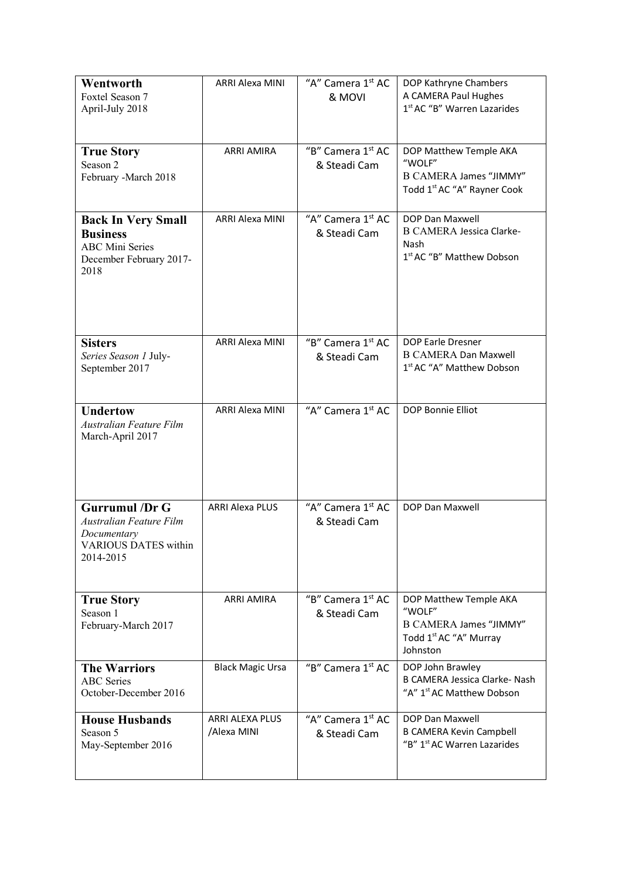| Wentworth<br>Foxtel Season 7<br>April-July 2018                                                             | <b>ARRI Alexa MINI</b>         | "A" Camera 1st AC<br>& MOVI                   | DOP Kathryne Chambers<br>A CAMERA Paul Hughes<br>1st AC "B" Warren Lazarides                                        |
|-------------------------------------------------------------------------------------------------------------|--------------------------------|-----------------------------------------------|---------------------------------------------------------------------------------------------------------------------|
| <b>True Story</b><br>Season 2<br>February -March 2018                                                       | <b>ARRI AMIRA</b>              | "B" Camera 1st AC<br>& Steadi Cam             | DOP Matthew Temple AKA<br>"WOLF"<br>B CAMERA James "JIMMY"<br>Todd 1 <sup>st</sup> AC "A" Rayner Cook               |
| <b>Back In Very Small</b><br><b>Business</b><br><b>ABC Mini Series</b><br>December February 2017-<br>2018   | <b>ARRI Alexa MINI</b>         | "A" Camera 1 <sup>st</sup> AC<br>& Steadi Cam | DOP Dan Maxwell<br><b>B CAMERA Jessica Clarke-</b><br>Nash<br>1st AC "B" Matthew Dobson                             |
| <b>Sisters</b><br>Series Season 1 July-<br>September 2017                                                   | <b>ARRI Alexa MINI</b>         | "B" Camera 1st AC<br>& Steadi Cam             | DOP Earle Dresner<br><b>B CAMERA Dan Maxwell</b><br>1 <sup>st</sup> AC "A" Matthew Dobson                           |
| <b>Undertow</b><br>Australian Feature Film<br>March-April 2017                                              | <b>ARRI Alexa MINI</b>         | "A" Camera 1 <sup>st</sup> AC                 | <b>DOP Bonnie Elliot</b>                                                                                            |
| <b>Gurrumul</b> /Dr G<br>Australian Feature Film<br>Documentary<br><b>VARIOUS DATES within</b><br>2014-2015 | <b>ARRI Alexa PLUS</b>         | "A" Camera 1 <sup>st</sup> AC<br>& Steadi Cam | DOP Dan Maxwell                                                                                                     |
| <b>True Story</b><br>Season 1<br>February-March 2017                                                        | <b>ARRI AMIRA</b>              | "B" Camera 1st AC<br>& Steadi Cam             | DOP Matthew Temple AKA<br>"WOLF"<br><b>B CAMERA James "JIMMY"</b><br>Todd 1 <sup>st</sup> AC "A" Murray<br>Johnston |
| <b>The Warriors</b><br><b>ABC</b> Series<br>October-December 2016                                           | <b>Black Magic Ursa</b>        | "B" Camera 1st AC                             | DOP John Brawley<br>B CAMERA Jessica Clarke- Nash<br>"A" 1 <sup>st</sup> AC Matthew Dobson                          |
| <b>House Husbands</b><br>Season 5<br>May-September 2016                                                     | ARRI ALEXA PLUS<br>/Alexa MINI | "A" Camera 1 <sup>st</sup> AC<br>& Steadi Cam | DOP Dan Maxwell<br><b>B CAMERA Kevin Campbell</b><br>"B" 1 <sup>st</sup> AC Warren Lazarides                        |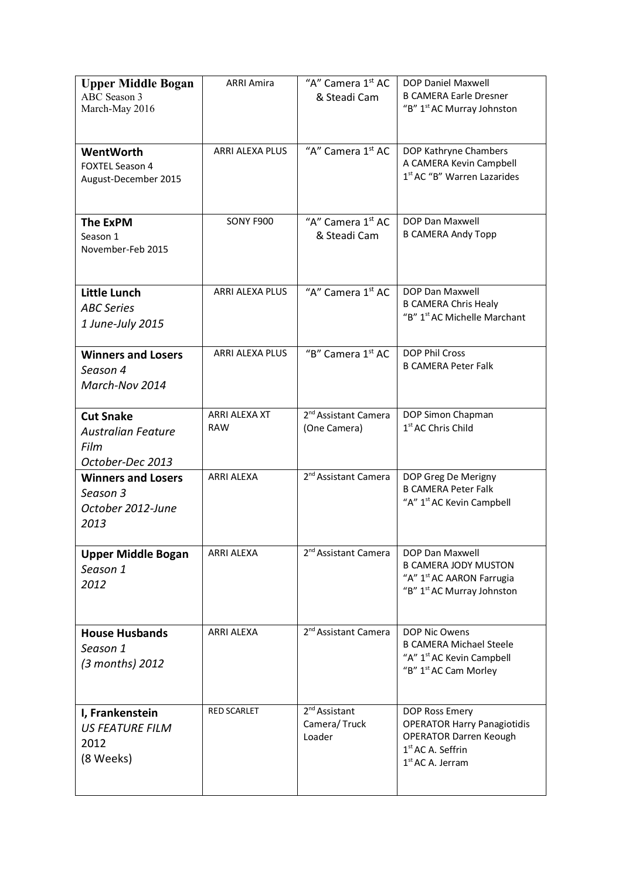| <b>Upper Middle Bogan</b><br><b>ABC</b> Season 3<br>March-May 2016        | <b>ARRI Amira</b>           | "A" Camera 1 <sup>st</sup> AC<br>& Steadi Cam       | DOP Daniel Maxwell<br><b>B CAMERA Earle Dresner</b><br>"B" 1 <sup>st</sup> AC Murray Johnston                                                          |
|---------------------------------------------------------------------------|-----------------------------|-----------------------------------------------------|--------------------------------------------------------------------------------------------------------------------------------------------------------|
| WentWorth<br><b>FOXTEL Season 4</b><br>August-December 2015               | <b>ARRI ALEXA PLUS</b>      | "A" Camera 1 <sup>st</sup> AC                       | DOP Kathryne Chambers<br>A CAMERA Kevin Campbell<br>1st AC "B" Warren Lazarides                                                                        |
| <b>The ExPM</b><br>Season 1<br>November-Feb 2015                          | SONY F900                   | "A" Camera 1 <sup>st</sup> AC<br>& Steadi Cam       | DOP Dan Maxwell<br><b>B CAMERA Andy Topp</b>                                                                                                           |
| Little Lunch<br><b>ABC Series</b><br>1 June-July 2015                     | ARRI ALEXA PLUS             | "A" Camera 1st AC                                   | DOP Dan Maxwell<br><b>B CAMERA Chris Healy</b><br>"B" 1 <sup>st</sup> AC Michelle Marchant                                                             |
| <b>Winners and Losers</b><br>Season 4<br>March-Nov 2014                   | ARRI ALEXA PLUS             | "B" Camera 1st AC                                   | <b>DOP Phil Cross</b><br><b>B CAMERA Peter Falk</b>                                                                                                    |
| <b>Cut Snake</b><br><b>Australian Feature</b><br>Film<br>October-Dec 2013 | ARRI ALEXA XT<br><b>RAW</b> | 2 <sup>nd</sup> Assistant Camera<br>(One Camera)    | DOP Simon Chapman<br>1 <sup>st</sup> AC Chris Child                                                                                                    |
| <b>Winners and Losers</b><br>Season 3<br>October 2012-June<br>2013        | <b>ARRI ALEXA</b>           | 2 <sup>nd</sup> Assistant Camera                    | DOP Greg De Merigny<br><b>B CAMERA Peter Falk</b><br>"A" 1 <sup>st</sup> AC Kevin Campbell                                                             |
| <b>Upper Middle Bogan</b><br>Season 1<br>2012                             | <b>ARRI ALEXA</b>           | 2 <sup>nd</sup> Assistant Camera                    | <b>DOP Dan Maxwell</b><br><b>B CAMERA JODY MUSTON</b><br>"A" 1 <sup>st</sup> AC AARON Farrugia<br>"B" 1 <sup>st</sup> AC Murray Johnston               |
| <b>House Husbands</b><br>Season 1<br>(3 months) 2012                      | <b>ARRI ALEXA</b>           | 2 <sup>nd</sup> Assistant Camera                    | DOP Nic Owens<br><b>B CAMERA Michael Steele</b><br>"A" 1 <sup>st</sup> AC Kevin Campbell<br>"B" 1 <sup>st</sup> AC Cam Morley                          |
| I, Frankenstein<br><b>US FEATURE FILM</b><br>2012<br>(8 Weeks)            | <b>RED SCARLET</b>          | 2 <sup>nd</sup> Assistant<br>Camera/Truck<br>Loader | DOP Ross Emery<br><b>OPERATOR Harry Panagiotidis</b><br><b>OPERATOR Darren Keough</b><br>1 <sup>st</sup> AC A. Seffrin<br>1 <sup>st</sup> AC A. Jerram |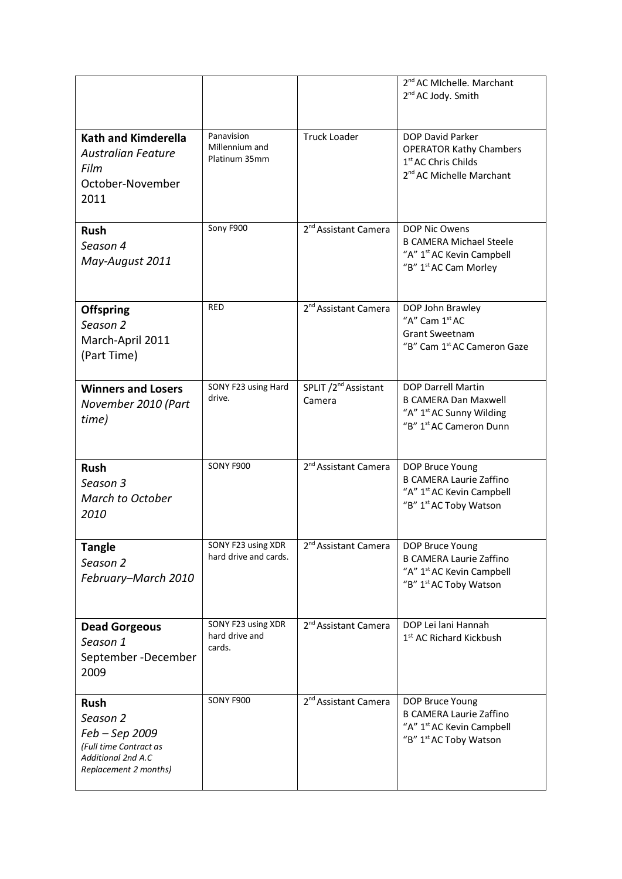|                                                                                                                    |                                                |                                            | 2 <sup>nd</sup> AC MIchelle. Marchant<br>2 <sup>nd</sup> AC Jody. Smith                                                                 |
|--------------------------------------------------------------------------------------------------------------------|------------------------------------------------|--------------------------------------------|-----------------------------------------------------------------------------------------------------------------------------------------|
| <b>Kath and Kimderella</b><br><b>Australian Feature</b><br>Film<br>October-November<br>2011                        | Panavision<br>Millennium and<br>Platinum 35mm  | <b>Truck Loader</b>                        | DOP David Parker<br><b>OPERATOR Kathy Chambers</b><br>1 <sup>st</sup> AC Chris Childs<br>2 <sup>nd</sup> AC Michelle Marchant           |
| <b>Rush</b><br>Season 4<br>May-August 2011                                                                         | Sony F900                                      | 2 <sup>nd</sup> Assistant Camera           | DOP Nic Owens<br><b>B CAMERA Michael Steele</b><br>"A" 1 <sup>st</sup> AC Kevin Campbell<br>"B" 1 <sup>st</sup> AC Cam Morley           |
| <b>Offspring</b><br>Season 2<br>March-April 2011<br>(Part Time)                                                    | <b>RED</b>                                     | 2 <sup>nd</sup> Assistant Camera           | DOP John Brawley<br>"A" Cam 1 <sup>st</sup> AC<br><b>Grant Sweetnam</b><br>"B" Cam 1 <sup>st</sup> AC Cameron Gaze                      |
| <b>Winners and Losers</b><br>November 2010 (Part<br>time)                                                          | SONY F23 using Hard<br>drive.                  | SPLIT /2 <sup>nd</sup> Assistant<br>Camera | <b>DOP Darrell Martin</b><br><b>B CAMERA Dan Maxwell</b><br>"A" 1 <sup>st</sup> AC Sunny Wilding<br>"B" 1 <sup>st</sup> AC Cameron Dunn |
| <b>Rush</b><br>Season 3<br>March to October<br>2010                                                                | SONY F900                                      | 2 <sup>nd</sup> Assistant Camera           | DOP Bruce Young<br><b>B CAMERA Laurie Zaffino</b><br>"A" 1 <sup>st</sup> AC Kevin Campbell<br>"B" 1 <sup>st</sup> AC Toby Watson        |
| <b>Tangle</b><br>Season 2<br>February-March 2010                                                                   | SONY F23 using XDR<br>hard drive and cards.    | 2 <sup>nd</sup> Assistant Camera           | DOP Bruce Young<br><b>B CAMERA Laurie Zaffino</b><br>"A" 1 <sup>st</sup> AC Kevin Campbell<br>"B" 1 <sup>st</sup> AC Toby Watson        |
| <b>Dead Gorgeous</b><br>Season 1<br>September-December<br>2009                                                     | SONY F23 using XDR<br>hard drive and<br>cards. | 2 <sup>nd</sup> Assistant Camera           | DOP Lei lani Hannah<br>1 <sup>st</sup> AC Richard Kickbush                                                                              |
| <b>Rush</b><br>Season 2<br>Feb – Sep 2009<br>(Full time Contract as<br>Additional 2nd A.C<br>Replacement 2 months) | SONY F900                                      | 2 <sup>nd</sup> Assistant Camera           | DOP Bruce Young<br><b>B CAMERA Laurie Zaffino</b><br>"A" 1 <sup>st</sup> AC Kevin Campbell<br>"B" 1 <sup>st</sup> AC Toby Watson        |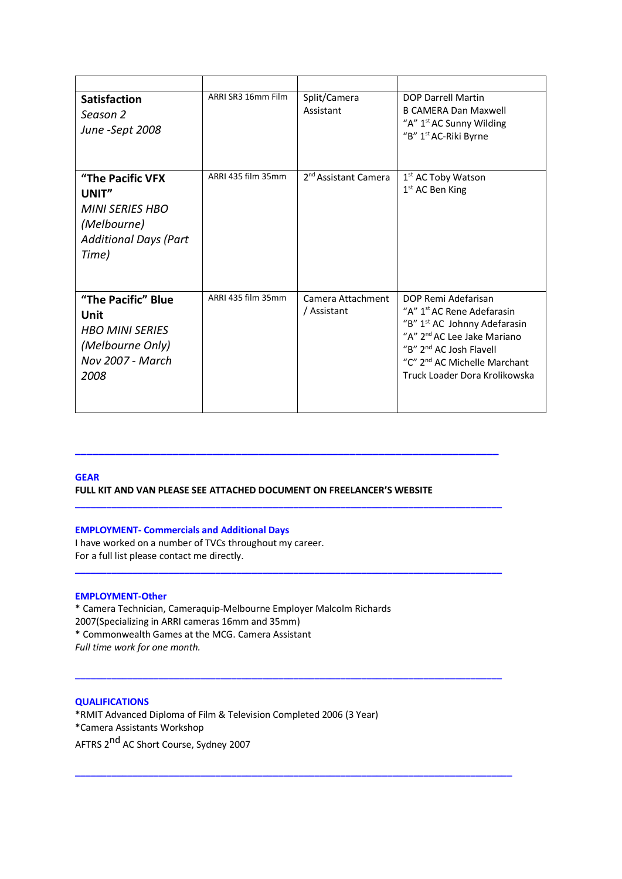| <b>Satisfaction</b><br>Season 2<br>June -Sept 2008                                                                 | ARRI SR3 16mm Film | Split/Camera<br>Assistant        | <b>DOP Darrell Martin</b><br><b>B CAMERA Dan Maxwell</b><br>"A" 1 <sup>st</sup> AC Sunny Wilding<br>"B" 1 <sup>st</sup> AC-Riki Byrne                                                                                                                                    |
|--------------------------------------------------------------------------------------------------------------------|--------------------|----------------------------------|--------------------------------------------------------------------------------------------------------------------------------------------------------------------------------------------------------------------------------------------------------------------------|
| <b>"The Pacific VFX</b><br>UNIT"<br><b>MINI SERIES HBO</b><br>(Melbourne)<br><b>Additional Days (Part</b><br>Time) | ARRI 435 film 35mm | 2 <sup>nd</sup> Assistant Camera | 1 <sup>st</sup> AC Toby Watson<br>$1st$ AC Ben King                                                                                                                                                                                                                      |
| "The Pacific" Blue<br>Unit<br><b>HBO MINI SERIES</b><br>(Melbourne Only)<br><b>Nov 2007 - March</b><br>2008        | ARRI 435 film 35mm | Camera Attachment<br>/ Assistant | DOP Remi Adefarisan<br>"A" 1 <sup>st</sup> AC Rene Adefarasin<br>"B" 1 <sup>st</sup> AC Johnny Adefarasin<br>"A" 2 <sup>nd</sup> AC Lee Jake Mariano<br>"B" 2 <sup>nd</sup> AC Josh Flavell<br>"C" 2 <sup>nd</sup> AC Michelle Marchant<br>Truck Loader Dora Krolikowska |

# **GEAR FULL KIT AND VAN PLEASE SEE ATTACHED DOCUMENT ON FREELANCER'S WEBSITE**

**\_\_\_\_\_\_\_\_\_\_\_\_\_\_\_\_\_\_\_\_\_\_\_\_\_\_\_\_\_\_\_\_\_\_\_\_\_\_\_\_\_\_\_\_\_\_\_\_\_\_\_\_\_\_\_\_\_\_\_\_\_\_\_\_\_\_\_\_\_\_\_\_\_\_**

**\_\_\_\_\_\_\_\_\_\_\_\_\_\_\_\_\_\_\_\_\_\_\_\_\_\_\_\_\_\_\_\_\_\_\_\_\_\_\_\_\_\_\_\_\_\_\_\_\_\_\_\_\_\_\_\_\_\_\_\_\_\_\_\_\_\_\_\_\_\_\_\_\_\_\_\_\_\_\_\_\_\_**

**\_\_\_\_\_\_\_\_\_\_\_\_\_\_\_\_\_\_\_\_\_\_\_\_\_\_\_\_\_\_\_\_\_\_\_\_\_\_\_\_\_\_\_\_\_\_\_\_\_\_\_\_\_\_\_\_\_\_\_\_\_\_\_\_\_\_\_\_\_\_\_\_\_\_\_\_\_\_\_\_\_\_**

**\_\_\_\_\_\_\_\_\_\_\_\_\_\_\_\_\_\_\_\_\_\_\_\_\_\_\_\_\_\_\_\_\_\_\_\_\_\_\_\_\_\_\_\_\_\_\_\_\_\_\_\_\_\_\_\_\_\_\_\_\_\_\_\_\_\_\_\_\_\_\_\_\_\_\_\_\_\_\_\_\_\_**

**\_\_\_\_\_\_\_\_\_\_\_\_\_\_\_\_\_\_\_\_\_\_\_\_\_\_\_\_\_\_\_\_\_\_\_\_\_\_\_\_\_\_\_\_\_\_\_\_\_\_\_\_\_\_\_\_\_\_\_\_\_\_\_\_\_\_\_\_\_\_\_\_\_\_\_\_\_\_\_\_\_\_\_\_**

### **EMPLOYMENT- Commercials and Additional Days**

I have worked on a number of TVCs throughout my career. For a full list please contact me directly.

## **EMPLOYMENT-Other**

\* Camera Technician, Cameraquip-Melbourne Employer Malcolm Richards 2007(Specializing in ARRI cameras 16mm and 35mm) \* Commonwealth Games at the MCG. Camera Assistant *Full time work for one month.* 

#### **QUALIFICATIONS**

\*RMIT Advanced Diploma of Film & Television Completed 2006 (3 Year) \*Camera Assistants Workshop AFTRS 2<sup>nd</sup> AC Short Course, Sydney 2007